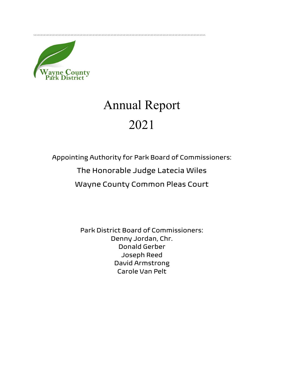

## Annual Report 2021

Appointing Authority for Park Board of Commissioners:

The Honorable Judge Latecia Wiles

Wayne County Common Pleas Court

Park District Board of Commissioners: Denny Jordan, Chr. Donald Gerber Joseph Reed David Armstrong Carole Van Pelt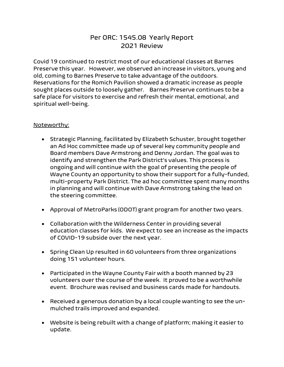## Per ORC: 1545.08 Yearly Report 2021 Review

Covid 19 continued to restrict most of our educational classes at Barnes Preserve this year. However, we observed an increase in visitors, young and old, coming to Barnes Preserve to take advantage of the outdoors. Reservations for the Romich Pavilion showed a dramatic increase as people sought places outside to loosely gather. Barnes Preserve continues to be a safe place for visitors to exercise and refresh their mental, emotional, and spiritual well-being.

## Noteworthy:

- Strategic Planning, facilitated by Elizabeth Schuster, brought together an Ad Hoc committee made up of several key community people and Board members Dave Armstrong and Denny Jordan. The goal was to identify and strengthen the Park District's values. This process is ongoing and will continue with the goal of presenting the people of Wayne County an opportunity to show their support for a fully-funded, multi-property Park District. The ad hoc committee spent many months in planning and will continue with Dave Armstrong taking the lead on the steering committee.
- Approval of MetroParks (ODOT) grant program for another two years.
- Collaboration with the Wilderness Center in providing several education classes for kids. We expect to see an increase as the impacts of COVID-19 subside over the next year.
- Spring Clean Up resulted in 60 volunteers from three organizations doing 151 volunteer hours.
- Participated in the Wayne County Fair with a booth manned by 23 volunteers over the course of the week. It proved to be a worthwhile event. Brochure was revised and business cards made for handouts.
- Received a generous donation by a local couple wanting to see the unmulched trails improved and expanded.
- Website is being rebuilt with a change of platform; making it easier to update.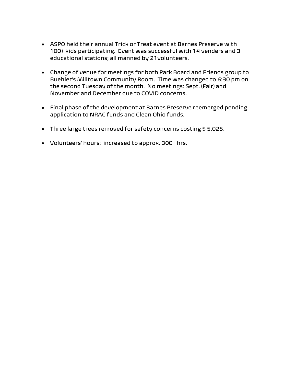- ASPO held their annual Trick or Treat event at Barnes Preserve with 100+ kids participating. Event was successful with 14 venders and 3 educational stations; all manned by 21volunteers.
- Change of venue for meetings for both Park Board and Friends group to Buehler's Milltown Community Room. Time was changed to 6:30 pm on the second Tuesday of the month. No meetings: Sept. (Fair) and November and December due to COVID concerns.
- Final phase of the development at Barnes Preserve reemerged pending application to NRAC funds and Clean Ohio funds.
- Three large trees removed for safety concerns costing \$5,025.
- Volunteers' hours: increased to approx. 300+ hrs.